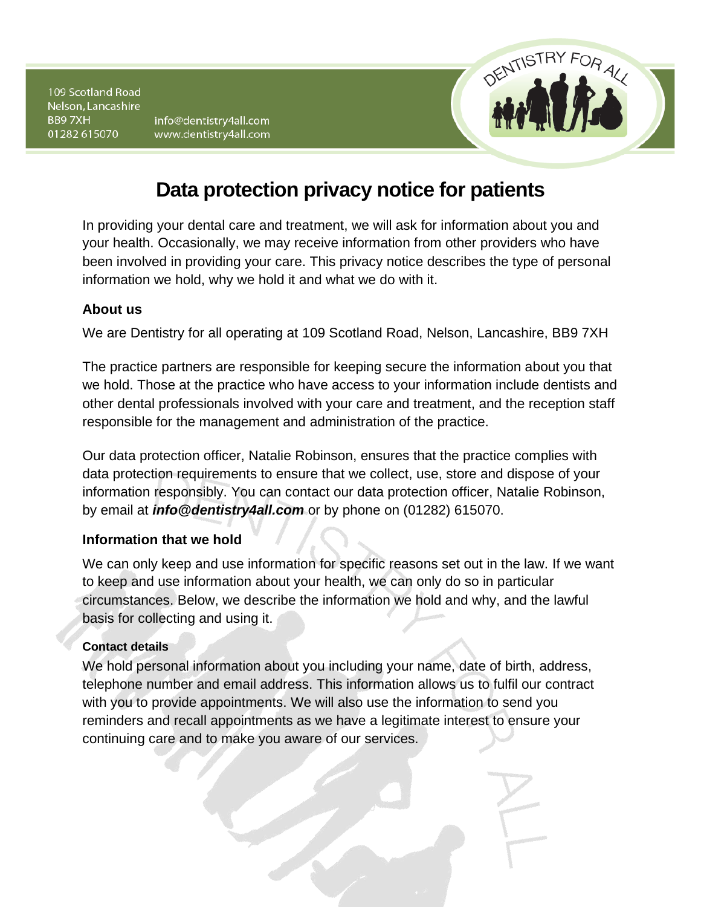info@dentistry4all.com www.dentistry4all.com



# **Data protection privacy notice for patients**

In providing your dental care and treatment, we will ask for information about you and your health. Occasionally, we may receive information from other providers who have been involved in providing your care. This privacy notice describes the type of personal information we hold, why we hold it and what we do with it.

# **About us**

We are Dentistry for all operating at 109 Scotland Road, Nelson, Lancashire, BB9 7XH

The practice partners are responsible for keeping secure the information about you that we hold. Those at the practice who have access to your information include dentists and other dental professionals involved with your care and treatment, and the reception staff responsible for the management and administration of the practice.

Our data protection officer, Natalie Robinson, ensures that the practice complies with data protection requirements to ensure that we collect, use, store and dispose of your information responsibly. You can contact our data protection officer, Natalie Robinson, by email at *info@dentistry4all.com* or by phone on (01282) 615070.

## **Information that we hold**

We can only keep and use information for specific reasons set out in the law. If we want to keep and use information about your health, we can only do so in particular circumstances. Below, we describe the information we hold and why, and the lawful basis for collecting and using it.

## **Contact details**

We hold personal information about you including your name, date of birth, address, telephone number and email address. This information allows us to fulfil our contract with you to provide appointments. We will also use the information to send you reminders and recall appointments as we have a legitimate interest to ensure your continuing care and to make you aware of our services.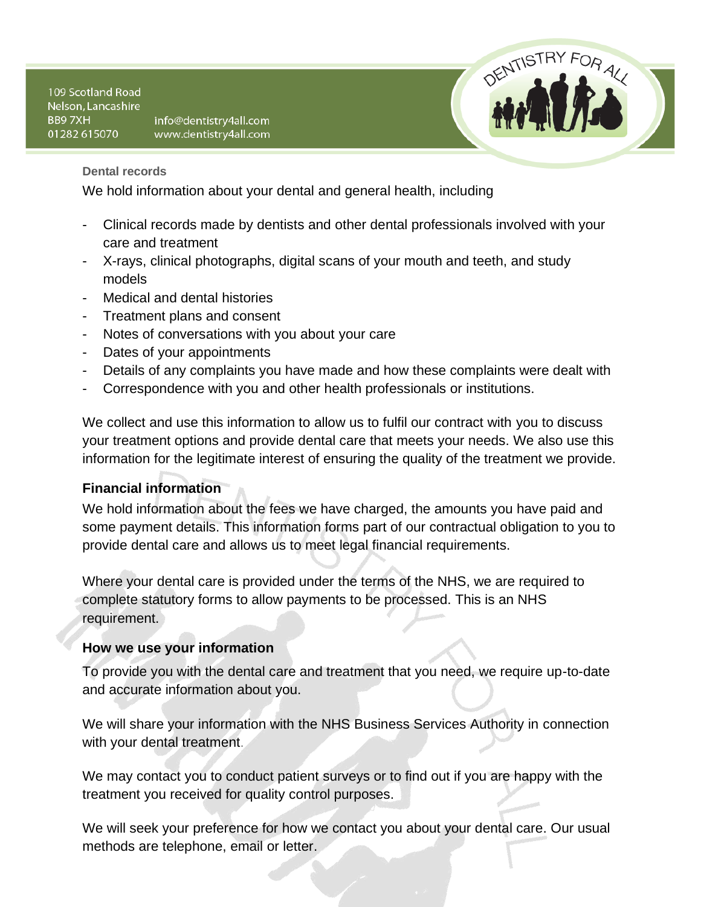info@dentistry4all.com www.dentistry4all.com



**Dental records**

We hold information about your dental and general health, including

- Clinical records made by dentists and other dental professionals involved with your care and treatment
- X-rays, clinical photographs, digital scans of your mouth and teeth, and study models
- Medical and dental histories
- Treatment plans and consent
- Notes of conversations with you about your care
- Dates of your appointments
- Details of any complaints you have made and how these complaints were dealt with
- Correspondence with you and other health professionals or institutions.

We collect and use this information to allow us to fulfil our contract with you to discuss your treatment options and provide dental care that meets your needs. We also use this information for the legitimate interest of ensuring the quality of the treatment we provide.

# **Financial information**

We hold information about the fees we have charged, the amounts you have paid and some payment details. This information forms part of our contractual obligation to you to provide dental care and allows us to meet legal financial requirements.

Where your dental care is provided under the terms of the NHS, we are required to complete statutory forms to allow payments to be processed. This is an NHS requirement.

## **How we use your information**

To provide you with the dental care and treatment that you need, we require up-to-date and accurate information about you.

We will share your information with the NHS Business Services Authority in connection with your dental treatment.

We may contact you to conduct patient surveys or to find out if you are happy with the treatment you received for quality control purposes.

We will seek your preference for how we contact you about your dental care. Our usual methods are telephone, email or letter.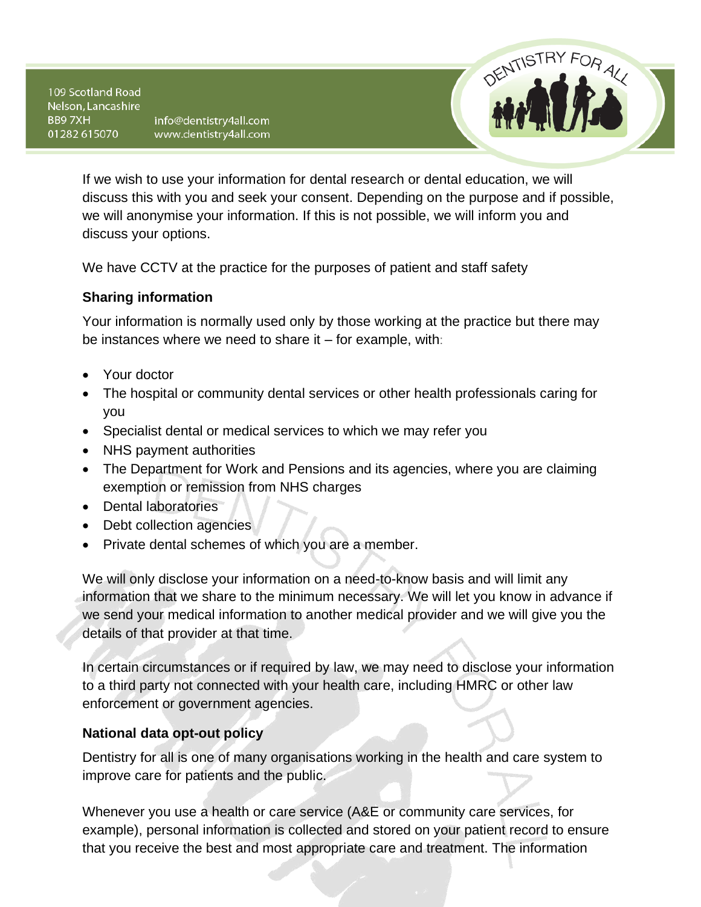info@dentistry4all.com www.dentistry4all.com



If we wish to use your information for dental research or dental education, we will discuss this with you and seek your consent. Depending on the purpose and if possible, we will anonymise your information. If this is not possible, we will inform you and discuss your options.

We have CCTV at the practice for the purposes of patient and staff safety

## **Sharing information**

Your information is normally used only by those working at the practice but there may be instances where we need to share it – for example, with:

- Your doctor
- The hospital or community dental services or other health professionals caring for you
- Specialist dental or medical services to which we may refer you
- NHS payment authorities
- The Department for Work and Pensions and its agencies, where you are claiming exemption or remission from NHS charges
- Dental laboratories
- Debt collection agencies
- Private dental schemes of which you are a member.

We will only disclose your information on a need-to-know basis and will limit any information that we share to the minimum necessary. We will let you know in advance if we send your medical information to another medical provider and we will give you the details of that provider at that time.

In certain circumstances or if required by law, we may need to disclose your information to a third party not connected with your health care, including HMRC or other law enforcement or government agencies.

## **National data opt-out policy**

Dentistry for all is one of many organisations working in the health and care system to improve care for patients and the public.

Whenever you use a health or care service (A&E or community care services, for example), personal information is collected and stored on your patient record to ensure that you receive the best and most appropriate care and treatment. The information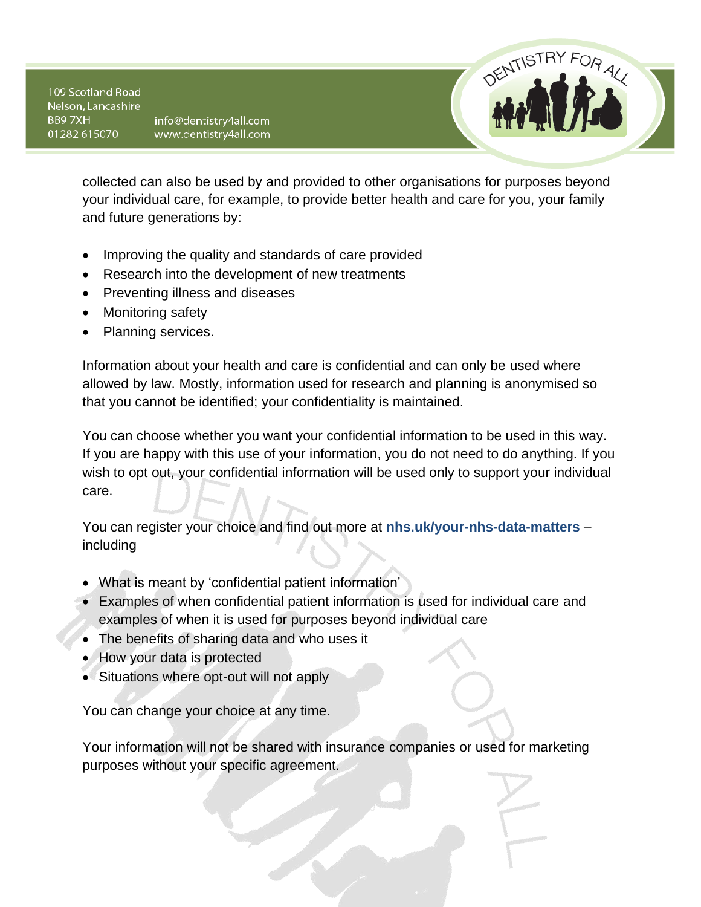info@dentistry4all.com www.dentistry4all.com



collected can also be used by and provided to other organisations for purposes beyond your individual care, for example, to provide better health and care for you, your family and future generations by:

- Improving the quality and standards of care provided
- Research into the development of new treatments
- Preventing illness and diseases
- Monitoring safety
- Planning services.

Information about your health and care is confidential and can only be used where allowed by law. Mostly, information used for research and planning is anonymised so that you cannot be identified; your confidentiality is maintained.

You can choose whether you want your confidential information to be used in this way. If you are happy with this use of your information, you do not need to do anything. If you wish to opt out, your confidential information will be used only to support your individual care.

You can register your choice and find out more at **nhs.uk/your-nhs-data-matters** – including

- What is meant by 'confidential patient information'
- Examples of when confidential patient information is used for individual care and examples of when it is used for purposes beyond individual care
- The benefits of sharing data and who uses it
- How your data is protected
- Situations where opt-out will not apply

You can change your choice at any time.

Your information will not be shared with insurance companies or used for marketing purposes without your specific agreement.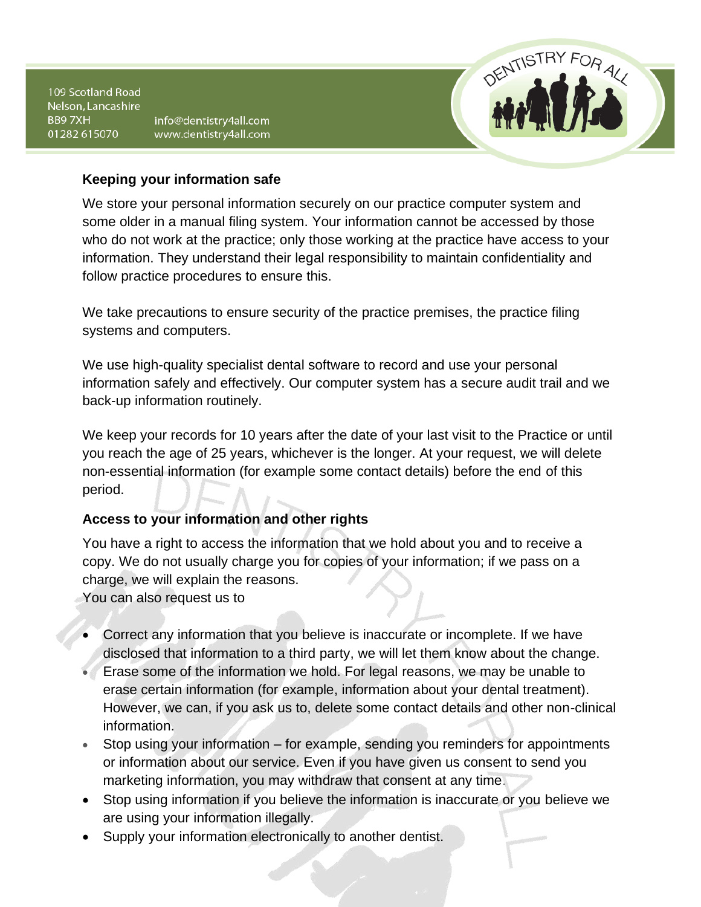info@dentistry4all.com www.dentistry4all.com



#### **Keeping your information safe**

We store your personal information securely on our practice computer system and some older in a manual filing system. Your information cannot be accessed by those who do not work at the practice; only those working at the practice have access to your information. They understand their legal responsibility to maintain confidentiality and follow practice procedures to ensure this.

We take precautions to ensure security of the practice premises, the practice filing systems and computers.

We use high-quality specialist dental software to record and use your personal information safely and effectively. Our computer system has a secure audit trail and we back-up information routinely.

We keep your records for 10 years after the date of your last visit to the Practice or until you reach the age of 25 years, whichever is the longer. At your request, we will delete non-essential information (for example some contact details) before the end of this period.

# **Access to your information and other rights**

You have a right to access the information that we hold about you and to receive a copy. We do not usually charge you for copies of your information; if we pass on a charge, we will explain the reasons.

You can also request us to

- Correct any information that you believe is inaccurate or incomplete. If we have disclosed that information to a third party, we will let them know about the change.
- Erase some of the information we hold. For legal reasons, we may be unable to erase certain information (for example, information about your dental treatment). However, we can, if you ask us to, delete some contact details and other non-clinical information.
- Stop using your information for example, sending you reminders for appointments or information about our service. Even if you have given us consent to send you marketing information, you may withdraw that consent at any time.
- Stop using information if you believe the information is inaccurate or you believe we are using your information illegally.
- Supply your information electronically to another dentist.